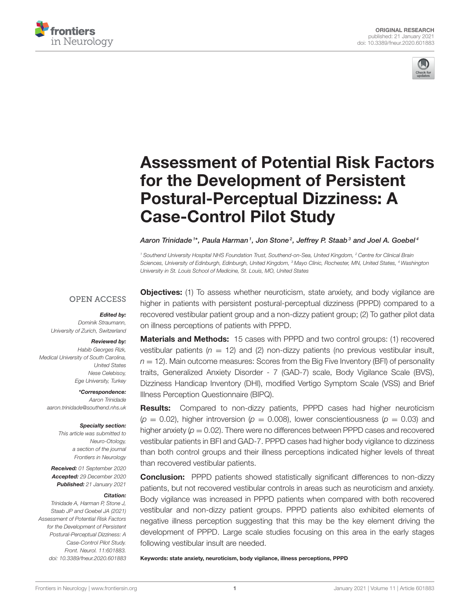



# [Assessment of Potential Risk Factors](https://www.frontiersin.org/articles/10.3389/fneur.2020.601883/full) for the Development of Persistent Postural-Perceptual Dizziness: A Case-Control Pilot Study

Aaron Trinidade  $^{\text{1}*}$ , Paula Harman  $^{\text{1}}$ , Jon Stone  $^{\text{2}}$ , Jeffrey P. Staab  $^{\text{3}}$  and Joel A. Goebel  $^{\text{4}}$ 

<sup>1</sup> Southend University Hospital NHS Foundation Trust, Southend-on-Sea, United Kingdom, <sup>2</sup> Centre for Clinical Brain Sciences, University of Edinburgh, Edinburgh, United Kingdom, <sup>3</sup> Mayo Clinic, Rochester, MN, United States, <sup>4</sup> Washington University in St. Louis School of Medicine, St. Louis, MO, United States

### **OPEN ACCESS**

#### Edited by:

Dominik Straumann, University of Zurich, Switzerland

#### Reviewed by:

Habib Georges Rizk, Medical University of South Carolina, United States Nese Celebisoy, Ege University, Turkey

\*Correspondence: Aaron Trinidade [aaron.trinidade@southend.nhs.uk](mailto:aaron.trinidade@southend.nhs.uk)

#### Specialty section:

This article was submitted to Neuro-Otology, a section of the journal Frontiers in Neurology

Received: 01 September 2020 Accepted: 29 December 2020 Published: 21 January 2021

#### Citation:

Trinidade A, Harman P, Stone J, Staab JP and Goebel JA (2021) Assessment of Potential Risk Factors for the Development of Persistent Postural-Perceptual Dizziness: A Case-Control Pilot Study. Front. Neurol. 11:601883. doi: [10.3389/fneur.2020.601883](https://doi.org/10.3389/fneur.2020.601883)

**Objectives:** (1) To assess whether neuroticism, state anxiety, and body vigilance are higher in patients with persistent postural-perceptual dizziness (PPPD) compared to a recovered vestibular patient group and a non-dizzy patient group; (2) To gather pilot data on illness perceptions of patients with PPPD.

Materials and Methods: 15 cases with PPPD and two control groups: (1) recovered vestibular patients ( $n = 12$ ) and (2) non-dizzy patients (no previous vestibular insult,  $n = 12$ ). Main outcome measures: Scores from the Big Five Inventory (BFI) of personality traits, Generalized Anxiety Disorder - 7 (GAD-7) scale, Body Vigilance Scale (BVS), Dizziness Handicap Inventory (DHI), modified Vertigo Symptom Scale (VSS) and Brief Illness Perception Questionnaire (BIPQ).

Results: Compared to non-dizzy patients, PPPD cases had higher neuroticism  $(p = 0.02)$ , higher introversion  $(p = 0.008)$ , lower conscientiousness  $(p = 0.03)$  and higher anxiety ( $p = 0.02$ ). There were no differences between PPPD cases and recovered vestibular patients in BFI and GAD-7. PPPD cases had higher body vigilance to dizziness than both control groups and their illness perceptions indicated higher levels of threat than recovered vestibular patients.

**Conclusion:** PPPD patients showed statistically significant differences to non-dizzy patients, but not recovered vestibular controls in areas such as neuroticism and anxiety. Body vigilance was increased in PPPD patients when compared with both recovered vestibular and non-dizzy patient groups. PPPD patients also exhibited elements of negative illness perception suggesting that this may be the key element driving the development of PPPD. Large scale studies focusing on this area in the early stages following vestibular insult are needed.

Keywords: state anxiety, neuroticism, body vigilance, illness perceptions, PPPD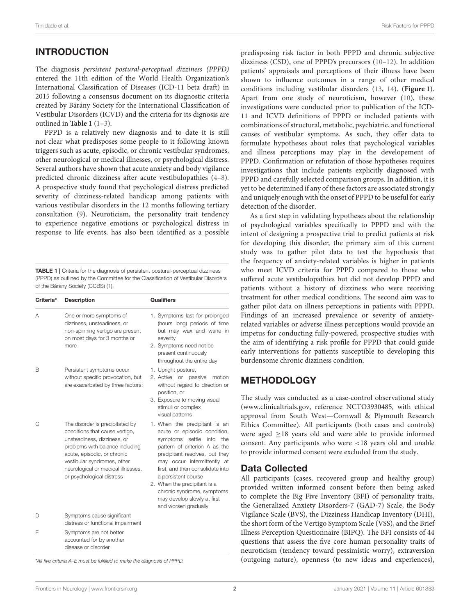## INTRODUCTION

The diagnosis persistent postural-perceptual dizziness (PPPD) entered the 11th edition of the World Health Organization's International Classification of Diseases (ICD-11 beta draft) in 2015 following a consensus document on its diagnostic criteria created by Bárány Society for the International Classification of Vestibular Disorders (ICVD) and the criteria for its dignosis are outlined in **[Table 1](#page-1-0)** [\(1–](#page-9-0)[3\)](#page-9-1).

PPPD is a relatively new diagnosis and to date it is still not clear what predisposes some people to it following known triggers such as acute, episodic, or chronic vestibular syndromes, other neurological or medical illnesses, or psychological distress. Several authors have shown that acute anxiety and body vigilance predicted chronic dizziness after acute vestibulopathies [\(4](#page-9-2)[–8\)](#page-9-3). A prospective study found that psychological distress predicted severity of dizziness-related handicap among patients with various vestibular disorders in the 12 months following tertiary consultation [\(9\)](#page-9-4). Neuroticism, the personality trait tendency to experience negative emotions or psychological distress in response to life events, has also been identified as a possible

<span id="page-1-0"></span>TABLE 1 | Criteria for the diagnosis of persistent postural-perceptual dizziness (PPPD) as outlined by the Committee for the Classification of Vestibular Disorders of the Bárány Society (CCBS) [\(1\)](#page-9-0).

| Criteria* | <b>Description</b>                                                                                                                                                                                                                                                   | <b>Qualifiers</b>                                                                                                                                                                                                                                                                                                                                                                    |
|-----------|----------------------------------------------------------------------------------------------------------------------------------------------------------------------------------------------------------------------------------------------------------------------|--------------------------------------------------------------------------------------------------------------------------------------------------------------------------------------------------------------------------------------------------------------------------------------------------------------------------------------------------------------------------------------|
| Α         | One or more symptoms of<br>dizziness, unsteadiness, or<br>non-spinning vertigo are present<br>on most days for 3 months or<br>more                                                                                                                                   | 1. Symptoms last for prolonged<br>(hours long) periods of time<br>but may wax and wane in<br>severity<br>2. Symptoms need not be<br>present continuously<br>throughout the entire day                                                                                                                                                                                                |
| в         | Persistent symptoms occur<br>without specific provocation, but<br>are exacerbated by three factors:                                                                                                                                                                  | 1. Upright posture,<br>2. Active or passive<br>motion<br>without regard to direction or<br>position, or<br>3. Exposure to moving visual<br>stimuli or complex<br>visual patterns                                                                                                                                                                                                     |
| С         | The disorder is precipitated by<br>conditions that cause vertigo,<br>unsteadiness, dizziness, or<br>problems with balance including<br>acute, episodic, or chronic<br>vestibular syndromes, other<br>neurological or medical illnesses,<br>or psychological distress | 1. When the precipitant is an<br>acute or episodic condition,<br>symptoms<br>settle<br>into<br>the<br>pattern of criterion A as the<br>precipitant resolves, but they<br>may occur intermittently at<br>first, and then consolidate into<br>a persistent course<br>2. When the precipitant is a<br>chronic syndrome, symptoms<br>may develop slowly at first<br>and worsen gradually |
| D         | Symptoms cause significant<br>distress or functional impairment                                                                                                                                                                                                      |                                                                                                                                                                                                                                                                                                                                                                                      |
| F         | Symptoms are not better<br>accounted for by another<br>disease or disorder                                                                                                                                                                                           |                                                                                                                                                                                                                                                                                                                                                                                      |

\*All five criteria A–E must be fulfilled to make the diagnosis of PPPD.

predisposing risk factor in both PPPD and chronic subjective dizziness (CSD), one of PPPD's precursors [\(10–](#page-9-5)[12\)](#page-9-6). In addition patients' appraisals and perceptions of their illness have been shown to influence outcomes in a range of other medical conditions including vestibular disorders [\(13,](#page-9-7) [14\)](#page-9-8). (**[Figure 1](#page-2-0)**). Apart from one study of neuroticism, however [\(10\)](#page-9-5), these investigations were conducted prior to publication of the ICD-11 and ICVD definitions of PPPD or included patients with combinations of structural, metabolic, psychiatric, and functional causes of vestibular symptoms. As such, they offer data to formulate hypotheses about roles that psychological variables and illness perceptions may play in the developement of PPPD. Confirmation or refutation of those hypotheses requires investigations that include patients explicitly diagnosed with PPPD and carefully selected comparison groups. In addition, it is yet to be deterimined if any of these factors are associated strongly and uniquely enough with the onset of PPPD to be useful for early detection of the disorder.

As a first step in validating hypotheses about the relationship of psychological variables specifically to PPPD and with the intent of designing a prospective trial to predict patients at risk for developing this disorder, the primary aim of this current study was to gather pilot data to test the hypothesis that the frequency of anxiety-related variables is higher in patients who meet ICVD criteria for PPPD compared to those who suffered acute vestibulopathies but did not develop PPPD and patients without a history of dizziness who were receiving treatment for other medical conditions. The second aim was to gather pilot data on illness perceptions in patients with PPPD. Findings of an increased prevalence or severity of anxietyrelated variables or adverse illness perceptions would provide an impetus for conducting fully-powered, prospective studies with the aim of identifying a risk profile for PPPD that could guide early interventions for patients susceptible to developing this burdensome chronic dizziness condition.

### METHODOLOGY

The study was conducted as a case-control observational study [\(www.clinicaltrials.gov,](http://www.clinicaltrials.gov) reference NCTO3930485, with ethical approval from South West—Cornwall & Plymouth Research Ethics Committee). All participants (both cases and controls) were aged ≥18 years old and were able to provide informed consent. Any participants who were <18 years old and unable to provide informed consent were excluded from the study.

#### Data Collected

All participants (cases, recovered group and healthy group) provided written informed consent before then being asked to complete the Big Five Inventory (BFI) of personality traits, the Generalized Anxiety Disorders-7 (GAD-7) Scale, the Body Vigilance Scale (BVS), the Dizziness Handicap Inventory (DHI), the short form of the Vertigo Symptom Scale (VSS), and the Brief Illness Perception Questionnaire (BIPQ). The BFI consists of 44 questions that assess the five core human personality traits of neuroticism (tendency toward pessimistic worry), extraversion (outgoing nature), openness (to new ideas and experiences),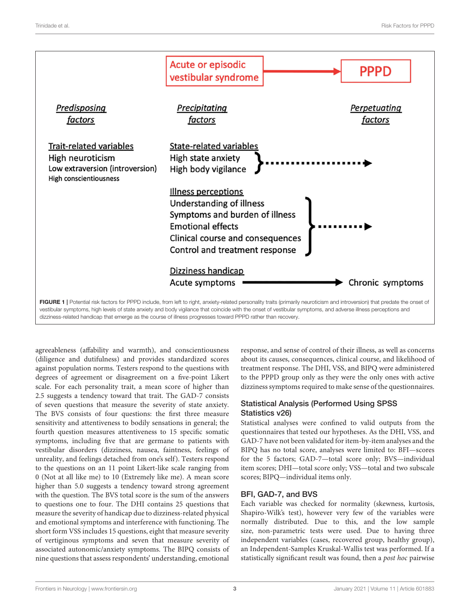

<span id="page-2-0"></span>dizziness-related handicap that emerge as the course of illness progresses toward PPPD rather than recovery.

agreeableness (affability and warmth), and conscientiousness (diligence and dutifulness) and provides standardized scores against population norms. Testers respond to the questions with degrees of agreement or disagreement on a five-point Likert scale. For each personality trait, a mean score of higher than 2.5 suggests a tendency toward that trait. The GAD-7 consists of seven questions that measure the severity of state anxiety. The BVS consists of four questions: the first three measure sensitivity and attentiveness to bodily sensations in general; the fourth question measures attentiveness to 15 specific somatic symptoms, including five that are germane to patients with vestibular disorders (dizziness, nausea, faintness, feelings of unreality, and feelings detached from one's self). Testers respond to the questions on an 11 point Likert-like scale ranging from 0 (Not at all like me) to 10 (Extremely like me). A mean score higher than 5.0 suggests a tendency toward strong agreement with the question. The BVS total score is the sum of the answers to questions one to four. The DHI contains 25 questions that measure the severity of handicap due to dizziness-related physical and emotional symptoms and interference with functioning. The short form VSS includes 15 questions, eight that measure severity of vertiginous symptoms and seven that measure severity of associated autonomic/anxiety symptoms. The BIPQ consists of nine questions that assess respondents' understanding, emotional

response, and sense of control of their illness, as well as concerns about its causes, consequences, clinical course, and likelihood of treatment response. The DHI, VSS, and BIPQ were administered to the PPPD group only as they were the only ones with active dizziness symptoms required to make sense of the questionnaires.

## Statistical Analysis (Performed Using SPSS Statistics v26)

Statistical analyses were confined to valid outputs from the questionnaires that tested our hypotheses. As the DHI, VSS, and GAD-7 have not been validated for item-by-item analyses and the BIPQ has no total score, analyses were limited to: BFI—scores for the 5 factors; GAD-7—total score only; BVS—individual item scores; DHI—total score only; VSS—total and two subscale scores; BIPQ—individual items only.

# BFI, GAD-7, and BVS

Each variable was checked for normality (skewness, kurtosis, Shapiro-Wilk's test), however very few of the variables were normally distributed. Due to this, and the low sample size, non-parametric tests were used. Due to having three independent variables (cases, recovered group, healthy group), an Independent-Samples Kruskal-Wallis test was performed. If a statistically significant result was found, then a post hoc pairwise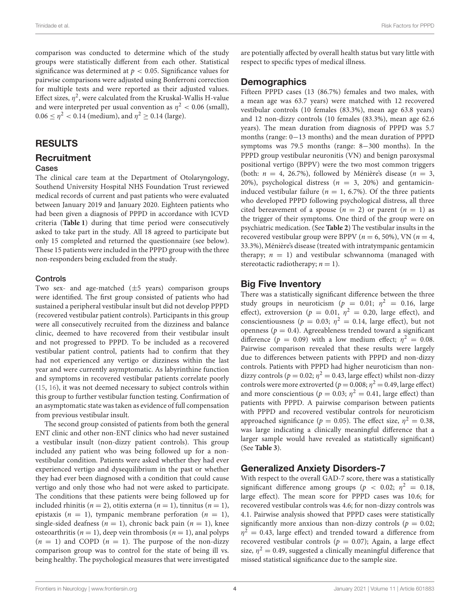comparison was conducted to determine which of the study groups were statistically different from each other. Statistical significance was determined at  $p < 0.05$ . Significance values for pairwise comparisons were adjusted using Bonferroni correction for multiple tests and were reported as their adjusted values. Effect sizes,  $\eta^2$ , were calculated from the Kruskal-Wallis H-value and were interpreted per usual convention as  $\eta^2 < 0.06$  (small),  $0.06 \le \eta^2 < 0.14$  (medium), and  $\eta^2 \ge 0.14$  (large).

## RESULTS

# **Recruitment**

#### Cases

The clinical care team at the Department of Otolaryngology, Southend University Hospital NHS Foundation Trust reviewed medical records of current and past patients who were evaluated between January 2019 and January 2020. Eighteen patients who had been given a diagnosis of PPPD in accordance with ICVD criteria (**[Table 1](#page-1-0)**) during that time period were consecutively asked to take part in the study. All 18 agreed to participate but only 15 completed and returned the questionnaire (see below). These 15 patients were included in the PPPD group with the three non-responders being excluded from the study.

#### Controls

Two sex- and age-matched (±5 years) comparison groups were identified. The first group consisted of patients who had sustained a peripheral vestibular insult but did not develop PPPD (recovered vestibular patient controls). Participants in this group were all consecutively recruited from the dizziness and balance clinic, deemed to have recovered from their vestibular insult and not progressed to PPPD. To be included as a recovered vestibular patient control, patients had to confirm that they had not experienced any vertigo or dizziness within the last year and were currently asymptomatic. As labyrinthine function and symptoms in recovered vestibular patients correlate poorly [\(15,](#page-9-9) [16\)](#page-9-10), it was not deemed necessary to subject controls within this group to further vestibular function testing. Confirmation of an asymptomatic state was taken as evidence of full compensation from previous vestibular insult.

The second group consisted of patients from both the general ENT clinic and other non-ENT clinics who had never sustained a vestibular insult (non-dizzy patient controls). This group included any patient who was being followed up for a nonvestibular condition. Patients were asked whether they had ever experienced vertigo and dysequilibrium in the past or whether they had ever been diagnosed with a condition that could cause vertigo and only those who had not were asked to participate. The conditions that these patients were being followed up for included rhinitis ( $n = 2$ ), otitis externa ( $n = 1$ ), tinnitus ( $n = 1$ ), epistaxis ( $n = 1$ ), tympanic membrane perforation ( $n = 1$ ), single-sided deafness ( $n = 1$ ), chronic back pain ( $n = 1$ ), knee osteoarthritis ( $n = 1$ ), deep vein thrombosis ( $n = 1$ ), anal polyps  $(n = 1)$  and COPD  $(n = 1)$ . The purpose of the non-dizzy comparison group was to control for the state of being ill vs. being healthy. The psychological measures that were investigated are potentially affected by overall health status but vary little with respect to specific types of medical illness.

## **Demographics**

Fifteen PPPD cases (13 (86.7%) females and two males, with a mean age was 63.7 years) were matched with 12 recovered vestibular controls (10 females (83.3%), mean age 63.8 years) and 12 non-dizzy controls (10 females (83.3%), mean age 62.6 years). The mean duration from diagnosis of PPPD was 5.7 months (range: 0−13 months) and the mean duration of PPPD symptoms was 79.5 months (range: 8−300 months). In the PPPD group vestibular neuronitis (VN) and benign paroxysmal positional vertigo (BPPV) were the two most common triggers (both:  $n = 4$ , 26.7%), followed by Ménière's disease ( $n = 3$ , 20%), psychological distress ( $n = 3$ , 20%) and gentamicininduced vestibular failure ( $n = 1$ , 6.7%). Of the three patients who developed PPPD following psychological distress, all three cited bereavement of a spouse ( $n = 2$ ) or parent ( $n = 1$ ) as the trigger of their symptoms. One third of the group were on psychiatric medication. (See **[Table 2](#page-4-0)**) The vestibular insults in the recovered vestibular group were BPPV ( $n = 6, 50\%$ ), VN ( $n = 4$ , 33.3%), Ménière's disease (treated with intratympanic gentamicin therapy;  $n = 1$ ) and vestibular schwannoma (managed with stereotactic radiotherapy;  $n = 1$ ).

## Big Five Inventory

There was a statistically significant difference between the three study groups in neuroticism ( $p = 0.01; \eta^2 = 0.16$ , large effect), extroversion ( $p = 0.01$ ,  $\eta^2 = 0.20$ , large effect), and conscientiousness ( $p = 0.03$ ;  $\eta^2 = 0.14$ , large effect), but not openness ( $p = 0.4$ ). Agreeableness trended toward a significant difference ( $p = 0.09$ ) with a low medium effect;  $\eta^2 = 0.08$ . Pairwise comparison revealed that these results were largely due to differences between patients with PPPD and non-dizzy controls. Patients with PPPD had higher neuroticism than nondizzy controls ( $p = 0.02$ ;  $\eta^2 = 0.43$ , large effect) whilst non-dizzy controls were more extroverted ( $p = 0.008$ ;  $\eta^2 = 0.49$ , large effect) and more conscientious ( $p = 0.03$ ;  $\eta^2 = 0.41$ , large effect) than patients with PPPD. A pairwise comparison between patients with PPPD and recovered vestibular controls for neuroticism approached significance ( $p = 0.05$ ). The effect size,  $\eta^2 = 0.38$ , was large indicating a clinically meaningful difference that a larger sample would have revealed as statistically significant) (See **[Table 3](#page-4-1)**).

# Generalized Anxiety Disorders-7

With respect to the overall GAD-7 score, there was a statistically significant difference among groups ( $p < 0.02$ ;  $\eta^2 = 0.18$ , large effect). The mean score for PPPD cases was 10.6; for recovered vestibular controls was 4.6; for non-dizzy controls was 4.1. Pairwise analysis showed that PPPD cases were statistically significantly more anxious than non-dizzy controls ( $p = 0.02$ ;  $\eta^2$  = 0.43, large effect) and trended toward a difference from recovered vestibular controls ( $p = 0.07$ ); Again, a large effect size,  $\eta^2 = 0.49$ , suggested a clinically meaningful difference that missed statistical significance due to the sample size.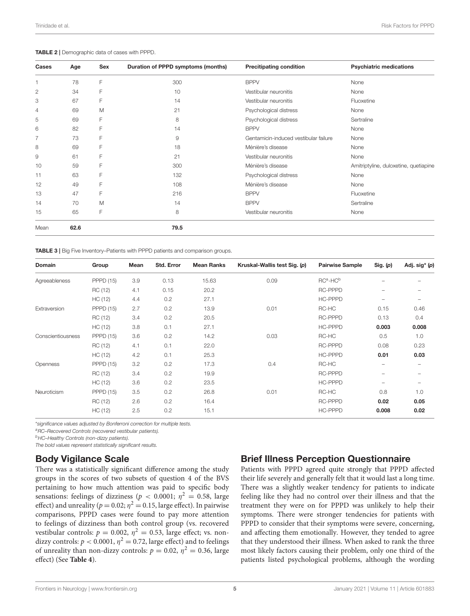<span id="page-4-0"></span>

|  | TABLE 2   Demographic data of cases with PPPD. |  |  |  |  |
|--|------------------------------------------------|--|--|--|--|
|--|------------------------------------------------|--|--|--|--|

| Cases          | Age  | Sex | Duration of PPPD symptoms (months) | <b>Precitipating condition</b>        | <b>Psychiatric medications</b>        |
|----------------|------|-----|------------------------------------|---------------------------------------|---------------------------------------|
|                | 78   | F   | 300                                | <b>BPPV</b>                           | None                                  |
| 2              | 34   | F   | 10                                 | Vestibular neuronitis                 | None                                  |
| 3              | 67   | F   | 14                                 | Vestibular neuronitis                 | Fluoxetine                            |
| 4              | 69   | M   | 21                                 | Psychological distress                | None                                  |
| 5              | 69   | F   | 8                                  | Psychological distress                | Sertraline                            |
| 6              | 82   | F   | 14                                 | <b>BPPV</b>                           | None                                  |
| $\overline{7}$ | 73   | F   | 9                                  | Gentamicin-induced vestibular failure | None                                  |
| 8              | 69   | F   | 18                                 | Ménière's disease                     | None                                  |
| 9              | 61   | F   | 21                                 | Vestibular neuronitis                 | None                                  |
| 10             | 59   | F   | 300                                | Ménière's disease                     | Amitriptyline, duloxetine, quetiapine |
| 11             | 63   | F   | 132                                | Psychological distress                | None                                  |
| 12             | 49   | F   | 108                                | Ménière's disease                     | None                                  |
| 13             | 47   | F   | 216                                | <b>BPPV</b>                           | Fluoxetine                            |
| 14             | 70   | M   | 14                                 | <b>BPPV</b>                           | Sertraline                            |
| 15             | 65   | F   | 8                                  | Vestibular neuronitis                 | None                                  |
| Mean           | 62.6 |     | 79.5                               |                                       |                                       |

<span id="page-4-1"></span>TABLE 3 | Big Five Inventory–Patients with PPPD patients and comparison groups.

| <b>Domain</b>     | Group            | Mean | Std. Error | <b>Mean Ranks</b> | Kruskal-Wallis test Sig. (p) | <b>Pairwise Sample</b> | Sig. (p) | Adj. sig* (p) |
|-------------------|------------------|------|------------|-------------------|------------------------------|------------------------|----------|---------------|
| Agreeableness     | <b>PPPD (15)</b> | 3.9  | 0.13       | 15.63             | 0.09                         | $RCa$ -HC $b$          |          |               |
|                   | RC (12)          | 4.1  | 0.15       | 20.2              |                              | RC-PPPD                |          |               |
|                   | HC (12)          | 4.4  | 0.2        | 27.1              |                              | HC-PPPD                |          |               |
| Extraversion      | <b>PPPD (15)</b> | 2.7  | 0.2        | 13.9              | 0.01                         | RC-HC                  | 0.15     | 0.46          |
|                   | RC (12)          | 3.4  | 0.2        | 20.5              |                              | RC-PPPD                | 0.13     | 0.4           |
|                   | HC (12)          | 3.8  | 0.1        | 27.1              |                              | HC-PPPD                | 0.003    | 0.008         |
| Conscientiousness | <b>PPPD (15)</b> | 3.6  | 0.2        | 14.2              | 0.03                         | RC-HC                  | 0.5      | 1.0           |
|                   | RC (12)          | 4.1  | 0.1        | 22.0              |                              | RC-PPPD                | 0.08     | 0.23          |
|                   | HC (12)          | 4.2  | 0.1        | 25.3              |                              | <b>HC-PPPD</b>         | 0.01     | 0.03          |
| Openness          | <b>PPPD (15)</b> | 3.2  | 0.2        | 17.3              | 0.4                          | RC-HC                  |          |               |
|                   | RC (12)          | 3.4  | 0.2        | 19.9              |                              | RC-PPPD                |          |               |
|                   | HC (12)          | 3.6  | 0.2        | 23.5              |                              | <b>HC-PPPD</b>         | -        |               |
| Neuroticism       | <b>PPPD (15)</b> | 3.5  | 0.2        | 26.8              | 0.01                         | RC-HC                  | 0.8      | 1.0           |
|                   | RC (12)          | 2.6  | 0.2        | 16.4              |                              | RC-PPPD                | 0.02     | 0.05          |
|                   | HC (12)          | 2.5  | 0.2        | 15.1              |                              | <b>HC-PPPD</b>         | 0.008    | 0.02          |

\*significance values adjusted by Bonferroni correction for multiple tests.

aRC-Recovered Controls (recovered vestibular patients).

**bHC-Healthy Controls (non-dizzy patients).** 

The bold values represent statistically significant results.

#### Body Vigilance Scale

There was a statistically significant difference among the study groups in the scores of two subsets of question 4 of the BVS pertaining to how much attention was paid to specific body sensations: feelings of dizziness ( $p < 0.0001$ ;  $\eta^2 = 0.58$ , large effect) and unreality ( $p = 0.02; \eta^2 = 0.15$ , large effect). In pairwise comparisons, PPPD cases were found to pay more attention to feelings of dizziness than both control group (vs. recovered vestibular controls:  $p = 0.002$ ,  $\eta^2 = 0.53$ , large effect; vs. nondizzy controls:  $p < 0.0001$ ,  $\eta^2 = 0.72$ , large effect) and to feelings of unreality than non-dizzy controls:  $p = 0.02$ ,  $\eta^2 = 0.36$ , large effect) (See **[Table 4](#page-5-0)**).

#### Brief Illness Perception Questionnaire

Patients with PPPD agreed quite strongly that PPPD affected their life severely and generally felt that it would last a long time. There was a slightly weaker tendency for patients to indicate feeling like they had no control over their illness and that the treatment they were on for PPPD was unlikely to help their symptoms. There were stronger tendencies for patients with PPPD to consider that their symptoms were severe, concerning, and affecting them emotionally. However, they tended to agree that they understood their illness. When asked to rank the three most likely factors causing their problem, only one third of the patients listed psychological problems, although the wording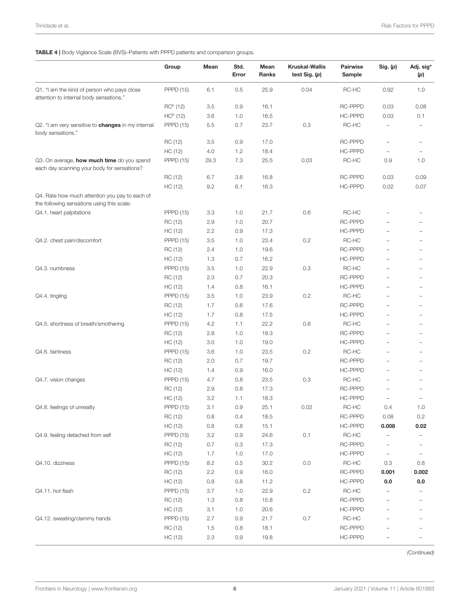<span id="page-5-0"></span>TABLE 4 | Body Vigilance Scale (BVS)–Patients with PPPD patients and comparison groups.

|                                                                                              | Group            | Mean    | Std.<br>Error | Mean<br>Ranks | <b>Kruskal-Wallis</b><br>test Sig. (p) | <b>Pairwise</b><br>Sample | Sig. (p)                 | Adj. sig*<br>(p)         |
|----------------------------------------------------------------------------------------------|------------------|---------|---------------|---------------|----------------------------------------|---------------------------|--------------------------|--------------------------|
| Q1. "I am the kind of person who pays close<br>attention to internal body sensations."       | <b>PPPD (15)</b> | 6.1     | 0.5           | 25.9          | 0.04                                   | RC-HC                     | 0.92                     | 1.0                      |
|                                                                                              | $RCa$ (12)       | 3.5     | 0.9           | 16.1          |                                        | <b>RC-PPPD</b>            | 0.03                     | 0.08                     |
|                                                                                              | $HCb$ (12)       | 3.6     | 1.0           | 16.5          |                                        | HC-PPPD                   | 0.03                     | 0.1                      |
| Q2. "I am very sensitive to <b>changes</b> in my internal<br>body sensations."               | <b>PPPD (15)</b> | 5.5     | 0.7           | 23.7          | 0.3                                    | RC-HC                     | $\overline{\phantom{0}}$ | $\overline{\phantom{0}}$ |
|                                                                                              | RC (12)          | 3.5     | 0.9           | 17.0          |                                        | RC-PPPD                   | $\qquad \qquad -$        | $\overline{\phantom{0}}$ |
|                                                                                              | HC (12)          | 4.0     | 1.2           | 18.4          |                                        | HC-PPPD                   | $\qquad \qquad -$        | $\overline{\phantom{0}}$ |
| Q3. On average, how much time do you spend<br>each day scanning your body for sensations?    | <b>PPPD (15)</b> | 29.3    | 7.3           | 25.5          | 0.03                                   | RC-HC                     | 0.9                      | 1.0                      |
|                                                                                              | RC (12)          | 6.7     | 3.6           | 16.8          |                                        | RC-PPPD                   | 0.03                     | 0.09                     |
|                                                                                              | HC (12)          | 9.2     | 6.1           | 16.3          |                                        | HC-PPPD                   | 0.02                     | 0.07                     |
| Q4. Rate how much attention you pay to each of<br>the following sensations using this scale: |                  |         |               |               |                                        |                           |                          |                          |
| Q4.1. heart palpitations                                                                     | <b>PPPD (15)</b> | 3.3     | 1.0           | 21.7          | 0.6                                    | RC-HC                     | $\equiv$                 | ۰                        |
|                                                                                              | RC (12)          | 2.9     | 1.0           | 20.7          |                                        | RC-PPPD                   |                          | $\overline{\phantom{0}}$ |
|                                                                                              | HC (12)          | 2.2     | 0.9           | 17.3          |                                        | HC-PPPD                   |                          | ۰                        |
| Q4.2. chest pain/discomfort                                                                  | <b>PPPD (15)</b> | 3.5     | 1.0           | 23.4          | 0.2                                    | RC-HC                     |                          | ÷                        |
|                                                                                              | RC (12)          | 2.4     | 1.0           | 19.6          |                                        | <b>RC-PPPD</b>            |                          | $\overline{\phantom{0}}$ |
|                                                                                              | HC (12)          | 1.3     | 0.7           | 16.2          |                                        | HC-PPPD                   |                          | $\overline{\phantom{0}}$ |
| Q4.3. numbness                                                                               | <b>PPPD (15)</b> | 3.5     | 1.0           | 22.9          | 0.3                                    | RC-HC                     | $=$                      | $\overline{\phantom{0}}$ |
|                                                                                              | RC (12)          | 2.3     | 0.7           | 20.3          |                                        | RC-PPPD                   | $\overline{\phantom{0}}$ | $\overline{\phantom{0}}$ |
|                                                                                              | HC (12)          | 1.4     | 0.8           | 16.1          |                                        | HC-PPPD                   | $\equiv$                 | $\overline{\phantom{0}}$ |
| Q4.4. tingling                                                                               | <b>PPPD (15)</b> | 3.5     | 1.0           | 23.9          | 0.2                                    | RC-HC                     | ÷,                       | ÷                        |
|                                                                                              | RC (12)          | 1.7     | 0.6           | 17.6          |                                        | <b>RC-PPPD</b>            |                          | $\overline{\phantom{0}}$ |
|                                                                                              | HC (12)          | 1.7     | 0.8           | 17.5          |                                        | HC-PPPD                   |                          | $\overline{\phantom{0}}$ |
| Q4.5. shortness of breath/smothering                                                         | <b>PPPD (15)</b> | 4.2     | 1.1           | 22.2          | 0.6                                    | RC-HC                     | $\overline{\phantom{0}}$ | ÷                        |
|                                                                                              | RC (12)          | 2.8     | 1.0           | 18.3          |                                        | <b>RC-PPPD</b>            | ÷,                       | ۰                        |
|                                                                                              | HC (12)          | 3.0     | 1.0           | 19.0          |                                        | HC-PPPD                   | ÷,                       | ÷                        |
| Q4.6. faintness                                                                              | <b>PPPD (15)</b> | 3.6     | 1.0           | 23.5          | 0.2                                    | RC-HC                     | ÷,                       | $\overline{\phantom{0}}$ |
|                                                                                              | RC (12)          | 2.0     | 0.7           | 19.7          |                                        | RC-PPPD                   |                          | $\overline{\phantom{0}}$ |
|                                                                                              | HC (12)          | 1.4     | 0.9           | 16.0          |                                        | HC-PPPD                   | $\overline{\phantom{0}}$ | $\overline{\phantom{0}}$ |
| Q4.7. vision changes                                                                         | <b>PPPD (15)</b> | 4.7     | 0.8           | 23.5          | 0.3                                    | RC-HC                     | $\overline{\phantom{0}}$ | $\overline{\phantom{0}}$ |
|                                                                                              | RC (12)          | 2.9     | 0.8           | 17.3          |                                        | RC-PPPD                   | $\overline{\phantom{0}}$ | -                        |
|                                                                                              | HC (12)          | 3.2     | 1.1           | 18.3          |                                        | <b>HC-PPPD</b>            |                          | $\overline{\phantom{0}}$ |
| Q4.8. feelings of unreality                                                                  | <b>PPPD (15)</b> | 3.1     | 0.9           | 25.1          | 0.02                                   | RC-HC                     | 0.4                      | 1.0                      |
|                                                                                              | RC (12)          | $0.8\,$ | 0.4           | 18.5          |                                        | RC-PPPD                   | 0.08                     | 0.2                      |
|                                                                                              | HC (12)          | 0.8     | 0.8           | 15.1          |                                        | HC-PPPD                   | 0.008                    | 0.02                     |
| Q4.9. feeling detached from self                                                             | <b>PPPD (15)</b> | 3.2     | 0.9           | 24.6          | 0.1                                    | RC-HC                     |                          |                          |
|                                                                                              | RC (12)          | 0.7     | 0.3           | 17.3          |                                        | <b>RC-PPPD</b>            |                          |                          |
|                                                                                              | HC (12)          | 1.7     | 1.0           | 17.0          |                                        | HC-PPPD                   | $\overline{\phantom{a}}$ | $\overline{\phantom{0}}$ |
| Q4.10. dizziness                                                                             | <b>PPPD (15)</b> | 8.2     | 0.5           | 30.2          | $0.0\,$                                | $RC-HC$                   | 0.3                      | 0.8                      |
|                                                                                              | RC (12)          | 2.2     | 0.9           | 16.0          |                                        | RC-PPPD                   | 0.001                    | 0.002                    |
|                                                                                              | HC (12)          | 0.8     | 0.8           | 11.2          |                                        | HC-PPPD                   | $0.0\,$                  | $0.0\,$                  |
| Q4.11. hot flash                                                                             | <b>PPPD (15)</b> | 3.7     | 1.0           | 22.9          | 0.2                                    | RC-HC                     |                          |                          |
|                                                                                              | RC (12)          | 1.3     | 0.8           | 15.8          |                                        | RC-PPPD                   | $\overline{\phantom{0}}$ |                          |
|                                                                                              | HC (12)          | 3.1     | 1.0           | 20.6          |                                        | HC-PPPD                   | $\qquad \qquad -$        | $\qquad \qquad -$        |
| Q4.12. sweating/clammy hands                                                                 | <b>PPPD (15)</b> | 2.7     | 0.9           | 21.7          | 0.7                                    | RC-HC                     | -                        | $\overline{a}$           |
|                                                                                              | RC (12)          | 1.5     | 0.8           | 18.1          |                                        | RC-PPPD                   | -                        |                          |
|                                                                                              | HC (12)          | 2.3     | 0.9           | 19.8          |                                        | HC-PPPD                   | $\qquad \qquad -$        | $\qquad \qquad -$        |

(Continued)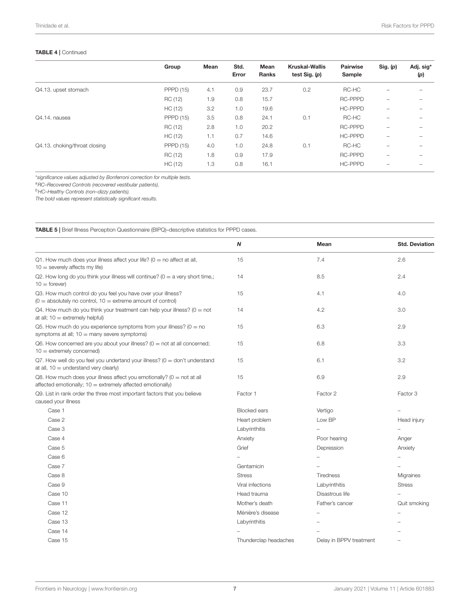#### TABLE 4 | Continued

|                               | Group            | Mean | Std.<br>Error | Mean<br><b>Ranks</b> | <b>Kruskal-Wallis</b><br>test $Sig.$ (p) | Pairwise<br>Sample | Sig. (p)                 | Adj. sig*<br>(p) |
|-------------------------------|------------------|------|---------------|----------------------|------------------------------------------|--------------------|--------------------------|------------------|
| Q4.13. upset stomach          | <b>PPPD (15)</b> | 4.1  | 0.9           | 23.7                 | 0.2                                      | RC-HC              |                          |                  |
|                               | RC (12)          | 1.9  | 0.8           | 15.7                 |                                          | <b>RC-PPPD</b>     | -                        |                  |
|                               | HC (12)          | 3.2  | 1.0           | 19.6                 |                                          | <b>HC-PPPD</b>     | -                        |                  |
| Q4.14, nausea                 | <b>PPPD (15)</b> | 3.5  | 0.8           | 24.1                 | 0.1                                      | RC-HC              |                          |                  |
|                               | RC (12)          | 2.8  | 1.0           | 20.2                 |                                          | <b>RC-PPPD</b>     | -                        |                  |
|                               | HC (12)          | 1.1  | 0.7           | 14.6                 |                                          | <b>HC-PPPD</b>     | -                        |                  |
| Q4.13. choking/throat closing | <b>PPPD (15)</b> | 4.0  | 1.0           | 24.8                 | 0.1                                      | RC-HC              | -                        |                  |
|                               | RC (12)          | 1.8  | 0.9           | 17.9                 |                                          | <b>RC-PPPD</b>     | -                        |                  |
|                               | HC (12)          | 1.3  | 0.8           | 16.1                 |                                          | <b>HC-PPPD</b>     | $\overline{\phantom{0}}$ |                  |

\*significance values adjusted by Bonferroni correction for multiple tests.

aRC–Recovered Controls (recovered vestibular patients).

 $^{b}$ HC–Healthy Controls (non–dizzy patients).

The bold values represent statistically significant results.

<span id="page-6-0"></span>TABLE 5 | Brief Illness Perception Questionnaire (BIPQ)–descriptive statistics for PPPD cases.

| N                     | Mean                    | <b>Std. Deviation</b> |
|-----------------------|-------------------------|-----------------------|
| 15                    | 7.4                     | 2.6                   |
| 14                    | 8.5                     | 2.4                   |
| 15                    | 4.1                     | 4.0                   |
| 14                    | 4.2                     | 3.0                   |
| 15                    | 6.3                     | 2.9                   |
| 15                    | 6.8                     | 3.3                   |
| 15                    | 6.1                     | 3.2                   |
| 15                    | 6.9                     | 2.9                   |
| Factor 1              | Factor 2                | Factor 3              |
| <b>Blocked ears</b>   | Vertigo                 |                       |
| Heart problem         | Low BP                  | Head injury           |
| Labyrinthitis         |                         |                       |
| Anxiety               | Poor hearing            | Anger                 |
| Grief                 | Depression              | Anxiety               |
|                       |                         |                       |
| Gentamicin            |                         |                       |
| <b>Stress</b>         | <b>Tiredness</b>        | Migraines             |
| Viral infections      | Labyrinthitis           | <b>Stress</b>         |
| Head trauma           | Disastrous life         |                       |
| Mother's death        | Father's cancer         | Quit smoking          |
| Ménière's disease     |                         |                       |
| Labyrinthitis         |                         |                       |
|                       |                         |                       |
| Thunderclap headaches | Delay in BPPV treatment |                       |
|                       |                         |                       |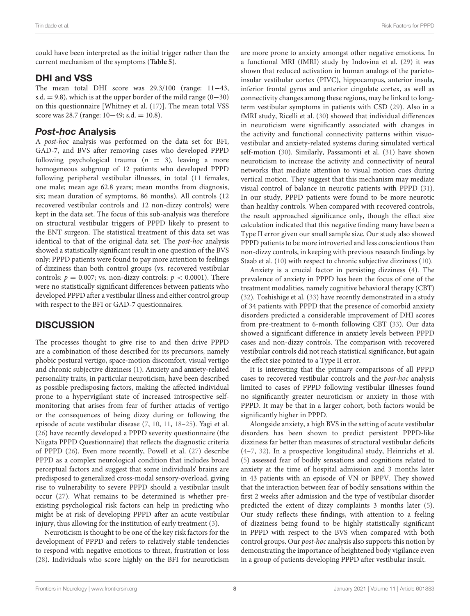could have been interpreted as the initial trigger rather than the current mechanism of the symptoms (**[Table 5](#page-6-0)**).

#### DHI and VSS

The mean total DHI score was 29.3/100 (range: 11−43, s.d. = 9.8), which is at the upper border of the mild range  $(0-30)$ on this questionnaire [Whitney et al. [\(17\)](#page-9-11)]. The mean total VSS score was 28.7 (range: 10−49; s.d. = 10.8).

#### Post-hoc Analysis

A post-hoc analysis was performed on the data set for BFI, GAD-7, and BVS after removing cases who developed PPPD following psychological trauma ( $n = 3$ ), leaving a more homogeneous subgroup of 12 patients who developed PPPD following peripheral vestibular illnesses, in total (11 females, one male; mean age 62.8 years; mean months from diagnosis, six; mean duration of symptoms, 86 months). All controls (12 recovered vestibular controls and 12 non-dizzy controls) were kept in the data set. The focus of this sub-analysis was therefore on structural vestibular triggers of PPPD likely to present to the ENT surgeon. The statistical treatment of this data set was identical to that of the original data set. The post-hoc analysis showed a statistically significant result in one question of the BVS only: PPPD patients were found to pay more attention to feelings of dizziness than both control groups (vs. recovered vestibular controls:  $p = 0.007$ ; vs. non-dizzy controls:  $p < 0.0001$ ). There were no statistically significant differences between patients who developed PPPD after a vestibular illness and either control group with respect to the BFI or GAD-7 questionnaires.

# **DISCUSSION**

The processes thought to give rise to and then drive PPPD are a combination of those described for its precursors, namely phobic postural vertigo, space-motion discomfort, visual vertigo and chronic subjective dizziness [\(1\)](#page-9-0). Anxiety and anxiety-related personality traits, in particular neuroticism, have been described as possible predisposing factors, making the affected individual prone to a hypervigilant state of increased introspective selfmonitoring that arises from fear of further attacks of vertigo or the consequences of being dizzy during or following the episode of acute vestibular disease [\(7,](#page-9-12) [10,](#page-9-5) [11,](#page-9-13) [18](#page-9-14)[–25\)](#page-9-15). Yagi et al. [\(26\)](#page-9-16) have recently developed a PPPD severity questionnaire (the Niigata PPPD Questionnaire) that reflects the diagnostic criteria of PPPD [\(26\)](#page-9-16). Even more recently, Powell et al. [\(27\)](#page-9-17) describe PPPD as a complex neurological condition that includes broad perceptual factors and suggest that some individuals' brains are predisposed to generalized cross-modal sensory-overload, giving rise to vulnerability to severe PPPD should a vestibular insult occur [\(27\)](#page-9-17). What remains to be determined is whether preexisting psychological risk factors can help in predicting who might be at risk of developing PPPD after an acute vestibular injury, thus allowing for the institution of early treatment [\(3\)](#page-9-1).

Neuroticism is thought to be one of the key risk factors for the development of PPPD and refers to relatively stable tendencies to respond with negative emotions to threat, frustration or loss [\(28\)](#page-9-18). Individuals who score highly on the BFI for neuroticism are more prone to anxiety amongst other negative emotions. In a functional MRI (fMRI) study by Indovina et al. [\(29\)](#page-9-19) it was shown that reduced activation in human analogs of the parietoinsular vestibular cortex (PIVC), hippocampus, anterior insula, inferior frontal gyrus and anterior cingulate cortex, as well as connectivity changes among these regions, may be linked to longterm vestibular symptoms in patients with CSD [\(29\)](#page-9-19). Also in a fMRI study, Ricelli et al. [\(30\)](#page-9-20) showed that individual differences in neuroticism were significantly associated with changes in the activity and functional connectivity patterns within visuovestibular and anxiety-related systems during simulated vertical self-motion [\(30\)](#page-9-20). Similarly, Passamonti et al. [\(31\)](#page-9-21) have shown neuroticism to increase the activity and connectivity of neural networks that mediate attention to visual motion cues during vertical motion. They suggest that this mechanism may mediate visual control of balance in neurotic patients with PPPD [\(31\)](#page-9-21). In our study, PPPD patients were found to be more neurotic than healthy controls. When compared with recovered controls, the result approached significance only, though the effect size calculation indicated that this negative finding many have been a Type II error given our small sample size. Our study also showed PPPD patients to be more introverted and less conscientious than non-dizzy controls, in keeping with previous research findings by Staab et al. [\(10\)](#page-9-5) with respect to chronic subjective dizziness [\(10\)](#page-9-5).

Anxiety is a crucial factor in persisting dizziness [\(4\)](#page-9-2). The prevalence of anxiety in PPPD has been the focus of one of the treatment modalities, namely cognitive behavioral therapy (CBT) [\(32\)](#page-9-22). Toshishige et al. [\(33\)](#page-9-23) have recently demonstrated in a study of 34 patients with PPPD that the presence of comorbid anxiety disorders predicted a considerable improvement of DHI scores from pre-treatment to 6-month following CBT [\(33\)](#page-9-23). Our data showed a significant difference in anxiety levels between PPPD cases and non-dizzy controls. The comparison with recovered vestibular controls did not reach statistical significance, but again the effect size pointed to a Type II error.

It is interesting that the primary comparisons of all PPPD cases to recovered vestibular controls and the post-hoc analysis limited to cases of PPPD following vestibular illnesses found no significantly greater neuroticism or anxiety in those with PPPD. It may be that in a larger cohort, both factors would be significantly higher in PPPD.

Alongside anxiety, a high BVS in the setting of acute vestibular disorders has been shown to predict persistent PPPD-like dizziness far better than measures of structural vestibular deficits [\(4–](#page-9-2)[7,](#page-9-12) [32\)](#page-9-22). In a prospective longitudinal study, Heinrichs et al. [\(5\)](#page-9-24) assessed fear of bodily sensations and cognitions related to anxiety at the time of hospital admission and 3 months later in 43 patients with an episode of VN or BPPV. They showed that the interaction between fear of bodily sensations within the first 2 weeks after admission and the type of vestibular disorder predicted the extent of dizzy complaints 3 months later [\(5\)](#page-9-24). Our study reflects these findings, with attention to a feeling of dizziness being found to be highly statistically significant in PPPD with respect to the BVS when compared with both control groups. Our post-hoc analysis also supports this notion by demonstrating the importance of heightened body vigilance even in a group of patients developing PPPD after vestibular insult.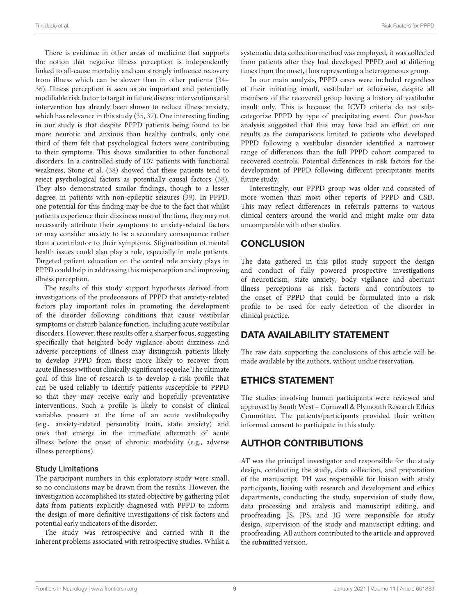There is evidence in other areas of medicine that supports the notion that negative illness perception is independently linked to all-cause mortality and can strongly influence recovery from illness which can be slower than in other patients [\(34–](#page-9-25) [36\)](#page-9-26). Illness perception is seen as an important and potentially modifiable risk factor to target in future disease interventions and intervention has already been shown to reduce illness anxiety, which has relevance in this study [\(35,](#page-9-27) [37\)](#page-10-0). One interesting finding in our study is that despite PPPD patients being found to be more neurotic and anxious than healthy controls, only one third of them felt that psychological factors were contributing to their symptoms. This shows similarities to other functional disorders. In a controlled study of 107 patients with functional weakness, Stone et al. [\(38\)](#page-10-1) showed that these patients tend to reject psychological factors as potentially causal factors [\(38\)](#page-10-1). They also demonstrated similar findings, though to a lesser degree, in patients with non-epileptic seizures [\(39\)](#page-10-2). In PPPD, one potential for this finding may be due to the fact that whilst patients experience their dizziness most of the time, they may not necessarily attribute their symptoms to anxiety-related factors or may consider anxiety to be a secondary consequence rather than a contributor to their symptoms. Stigmatization of mental health issues could also play a role, especially in male patients. Targeted patient education on the central role anxiety plays in PPPD could help in addressing this misperception and improving illness perception.

The results of this study support hypotheses derived from investigations of the predecessors of PPPD that anxiety-related factors play important roles in promoting the development of the disorder following conditions that cause vestibular symptoms or disturb balance function, including acute vestibular disorders. However, these results offer a sharper focus, suggesting specifically that heighted body vigilance about dizziness and adverse perceptions of illness may distinguish patients likely to develop PPPD from those more likely to recover from acute illnesses without clinically significant sequelae.The ultimate goal of this line of research is to develop a risk profile that can be used reliably to identify patients susceptible to PPPD so that they may receive early and hopefully preventative interventions. Such a profile is likely to consist of clinical variables present at the time of an acute vestibulopathy (e.g., anxiety-related personality traits, state anxiety) and ones that emerge in the immediate aftermath of acute illness before the onset of chronic morbidity (e.g., adverse illness perceptions).

#### Study Limitations

The participant numbers in this exploratory study were small, so no conclusions may be drawn from the results. However, the investigation accomplished its stated objective by gathering pilot data from patients explicitly diagnosed with PPPD to inform the design of more definitive investigations of risk factors and potential early indicators of the disorder.

The study was retrospective and carried with it the inherent problems associated with retrospective studies. Whilst a systematic data collection method was employed, it was collected from patients after they had developed PPPD and at differing times from the onset, thus representing a heterogeneous group.

In our main analysis, PPPD cases were included regardless of their initiating insult, vestibular or otherwise, despite all members of the recovered group having a history of vestibular insult only. This is because the ICVD criteria do not subcategorize PPPD by type of precipitating event. Our post-hoc analysis suggested that this may have had an effect on our results as the comparisons limited to patients who developed PPPD following a vestibular disorder identified a narrower range of differences than the full PPPD cohort compared to recovered controls. Potential differences in risk factors for the development of PPPD following different precipitants merits future study.

Interestingly, our PPPD group was older and consisted of more women than most other reports of PPPD and CSD. This may reflect differences in referrals patterns to various clinical centers around the world and might make our data uncomparable with other studies.

# **CONCLUSION**

The data gathered in this pilot study support the design and conduct of fully powered prospective investigations of neuroticism, state anxiety, body vigilance and aberrant illness perceptions as risk factors and contributors to the onset of PPPD that could be formulated into a risk profile to be used for early detection of the disorder in clinical practice.

# DATA AVAILABILITY STATEMENT

The raw data supporting the conclusions of this article will be made available by the authors, without undue reservation.

# ETHICS STATEMENT

The studies involving human participants were reviewed and approved by South West – Cornwall & Plymouth Research Ethics Committee. The patients/participants provided their written informed consent to participate in this study.

# AUTHOR CONTRIBUTIONS

AT was the principal investigator and responsible for the study design, conducting the study, data collection, and preparation of the manuscript. PH was responsible for liaison with study participants, liaising with research and development and ethics departments, conducting the study, supervision of study flow, data processing and analysis and manuscript editing, and proofreading. JS, JPS, and JG were responsible for study design, supervision of the study and manuscript editing, and proofreading. All authors contributed to the article and approved the submitted version.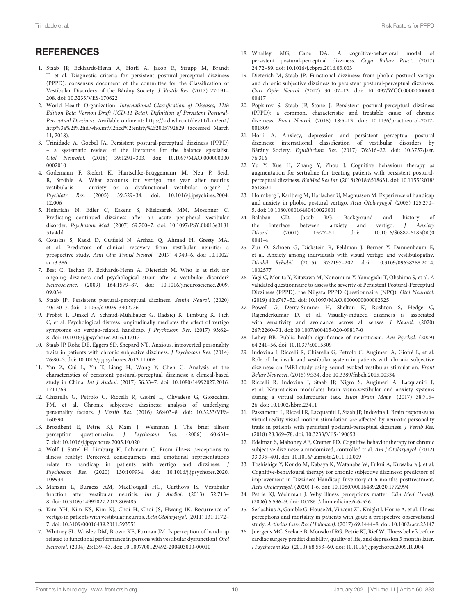# **REFERENCES**

- <span id="page-9-0"></span>1. Staab JP, Eckhardt-Henn A, Horii A, Jacob R, Strupp M, Brandt T, et al. Diagnostic criteria for persistent postural-perceptual dizziness (PPPD): consensus document of the committee for the Classification of Vestibular Disorders of the Bárány Society. J Vestib Res. (2017) 27:191– 208. doi: [10.3233/VES-170622](https://doi.org/10.3233/VES-170622)
- 2. World Health Organization. International Classification of Diseases, 11th Edition Beta Version Draft (ICD-11 Beta), Definition of Persistent Postural-Perceptual Dizziness. Available online at: [https://icd.who.int/dev11/l-m/en#/](https://icd.who.int/dev11/l-m/en#/http%3a%2f%2fid.who.int%2ficd%2fentity%2f2005792829) [http%3a%2f%2fid.who.int%2ficd%2fentity%2f2005792829](https://icd.who.int/dev11/l-m/en#/http%3a%2f%2fid.who.int%2ficd%2fentity%2f2005792829) (accessed March 11, 2018).
- <span id="page-9-1"></span>3. Trinidade A, Goebel JA. Persistent postural-perceptual dizziness (PPPD) – a systematic review of the literature for the balance specialist. Otol Neurotol[. \(2018\) 39:1291–303. doi: 10.1097/MAO.000000000](https://doi.org/10.1097/MAO.0000000000002010) 0002010
- <span id="page-9-2"></span>4. Godemann F, Siefert K, Hantschke-Brüggemann M, Neu P, Seidl R, Ströhle A. What accounts for vertigo one year after neuritis vestibularis - anxiety or a dysfunctional vestibular organ? J Psychiatr Res[. \(2005\) 39:529–34. doi: 10.1016/j.jpsychires.2004.](https://doi.org/10.1016/j.jpsychires.2004.12.006) 12.006
- <span id="page-9-24"></span>5. Heinrichs N, Edler C, Eskens S, Mielczarek MM, Moschner C. Predicting continued dizziness after an acute peripheral vestibular disorder. Psychosom Med[. \(2007\) 69:700–7. doi: 10.1097/PSY.0b013e3181](https://doi.org/10.1097/PSY.0b013e318151a4dd) 51a4dd
- 6. Cousins S, Kaski D, Cutfield N, Arshad Q, Ahmad H, Gresty MA, et al. Predictors of clinical recovery from vestibular neuritis: a prospective study. Ann Clin Transl Neurol[. \(2017\) 4:340–6. doi: 10.1002/](https://doi.org/10.1002/acn3.386) acn3.386
- <span id="page-9-12"></span>7. Best C, Tschan R, Eckhardt-Henn A, Dieterich M. Who is at risk for ongoing dizziness and psychological strain after a vestibular disorder? Neuroscience[. \(2009\) 164:1579–87. doi: 10.1016/j.neuroscience.2009.](https://doi.org/10.1016/j.neuroscience.2009.09.034) 09.034
- <span id="page-9-3"></span>8. Staab JP. Persistent postural-perceptual dizziness. Semin Neurol. (2020) 40:130–7. doi: [10.1055/s-0039-3402736](https://doi.org/10.1055/s-0039-3402736)
- <span id="page-9-4"></span>9. Probst T, Dinkel A, Schmid-Mühlbauer G, Radziej K, Limburg K, Pieh C, et al. Psychological distress longitudinally mediates the effect of vertigo symptoms on vertigo-related handicap. J Psychosom Res. (2017) 93:62– 8. doi: [10.1016/j.jpsychores.2016.11.013](https://doi.org/10.1016/j.jpsychores.2016.11.013)
- <span id="page-9-5"></span>10. Staab JP, Rohe DE, Eggers SD, Shepard NT. Anxious, introverted personality traits in patients with chronic subjective dizziness. J Psychosom Res. (2014) 76:80–3. doi: [10.1016/j.jpsychores.2013.11.008](https://doi.org/10.1016/j.jpsychores.2013.11.008)
- <span id="page-9-13"></span>11. Yan Z, Cui L, Yu T, Liang H, Wang Y, Chen C. Analysis of the characteristics of persistent postural-perceptual dizziness: a clinical-based study in China. Int J Audiol[. \(2017\) 56:33–7. doi: 10.1080/14992027.2016.](https://doi.org/10.1080/14992027.2016.1211763) 1211763
- <span id="page-9-6"></span>12. Chiarella G, Petrolo C, Riccelli R, Giofrè L, Olivadese G, Gioacchini FM, et al. Chronic subjective dizziness: analysis of underlying personality factors. J Vestib Res[. \(2016\) 26:403–8. doi: 10.3233/VES-](https://doi.org/10.3233/VES-160590)160590
- <span id="page-9-7"></span>13. Broadbent E, Petrie KJ, Main J, Weinman J. The brief illness perception questionnaire. J Psychosom Res. (2006) 60:631– 7. doi: [10.1016/j.jpsychores.2005.10.020](https://doi.org/10.1016/j.jpsychores.2005.10.020)
- <span id="page-9-8"></span>14. Wolf J, Sattel H, Limburg K, Lahmann C. From illness perceptions to illness reality? Perceived consequences and emotional representations relate to handicap in patients with vertigo and dizziness. J Psychosom Res[. \(2020\) 130:109934. doi: 10.1016/j.jpsychores.2020.](https://doi.org/10.1016/j.jpsychores.2020.109934) 109934
- <span id="page-9-9"></span>15. Manzari L, Burgess AM, MacDougall HG, Curthoys IS. Vestibular function after vestibular neuritis. Int J Audiol. (2013) 52:713– 8. doi: [10.3109/14992027.2013.809485](https://doi.org/10.3109/14992027.2013.809485)
- <span id="page-9-10"></span>16. Kim YH, Kim KS, Kim KJ, Choi H, Choi JS, Hwang IK. Recurrence of vertigo in patients with vestibular neuritis. Acta Otolaryngol. (2011) 131:1172– 7. doi: [10.3109/00016489.2011.593551](https://doi.org/10.3109/00016489.2011.593551)
- <span id="page-9-11"></span>17. Whitney SL, Wrisley DM, Brown KE, Furman JM. Is perception of handicap related to functional performance in persons with vestibular dysfunction? Otol Neurotol. (2004) 25:139–43. doi: [10.1097/00129492-200403000-00010](https://doi.org/10.1097/00129492-200403000-00010)
- <span id="page-9-14"></span>18. Whalley MG, Cane DA. A cognitive-behavioral model of persistent postural-perceptual dizziness. Cogn Bahav Pract. (2017) 24:72–89. doi: [10.1016/j.cbpra.2016.03.003](https://doi.org/10.1016/j.cbpra.2016.03.003)
- 19. Dieterich M, Staab JP. Functional dizziness: from phobic postural vertigo and chronic subjective dizziness to persistent postural-perceptual dizziness. Curr Opin Neurol[. \(2017\) 30:107–13. doi: 10.1097/WCO.00000000000](https://doi.org/10.1097/WCO.0000000000000417) 00417
- 20. Popkirov S, Staab JP, Stone J. Persistent postural-perceptual dizziness (PPPD): a common, characteristic and treatable cause of chronic dizziness. Pract Neurol[. \(2018\) 18:5–13. doi: 10.1136/practneurol-2017-](https://doi.org/10.1136/practneurol-2017-001809) 001809
- 21. Horii A. Anxiety, depression and persistent perceptual postural dizziness: international classification of vestibular disorders by Bárány Society. Equilibrium Res[. \(2017\) 76:316–22. doi: 10.3757/jser.](https://doi.org/10.3757/jser.76.316) 76.316
- 22. Yu Y, Xue H, Zhang Y, Zhou J. Cognitive behaviour therapy as augmentation for sertraline for treating patients with persistent posturalperceptual dizziness. BioMed Res Int. [\(2018\)2018:8518631. doi: 10.1155/2018/](https://doi.org/10.1155/2018/8518631) 8518631
- 23. Holmberg J, Karlberg M, Harlacher U, Magnusson M. Experience of handicap and anxiety in phobic postural vertigo. Acta Otolaryngol. (2005) 125:270– 5. doi: [10.1080/00016480410023001](https://doi.org/10.1080/00016480410023001)
- 24. Balaban CD, Jacob RG. Background and history of the interface between anxiety and vertigo. J Anxiety Disord[. \(2001\) 15:27–51. doi: 10.1016/S0887-6185\(00\)0](https://doi.org/10.1016/S0887-6185(00)00041-4) 0041-4
- <span id="page-9-15"></span>25. Zur O, Schoen G, Dickstein R, Feldman J, Berner Y, Dannenbaum E, et al. Anxiety among individuals with visual vertigo and vestibulopathy. Disabil Rehabil[. \(2015\) 37:2197–202. doi: 10.3109/09638288.2014.](https://doi.org/10.3109/09638288.2014.1002577) 1002577
- <span id="page-9-16"></span>26. Yagi C, Morita Y, Kitazawa M, Nonomura Y, Yamagishi T, Ohshima S, et al. A validated questionnaire to assess the severity of Persistent Postural-Perceptual Dizziness (PPPD): the Niigata PPPD Questionnaire (NPQ). Otol Neurotol. (2019) 40:e747–52. doi: [10.1097/MAO.0000000000002325](https://doi.org/10.1097/MAO.0000000000002325)
- <span id="page-9-17"></span>27. Powell G, Derry-Sumner H, Shelton K, Rushton S, Hedge C, Rajenderkumar D, et al. Visually-induced dizziness is associated with sensitivity and avoidance across all senses. J Neurol. (2020) 267:2260–71. doi: [10.1007/s00415-020-09817-0](https://doi.org/10.1007/s00415-020-09817-0)
- <span id="page-9-18"></span>28. Lahey BB. Public health significance of neuroticism. Am Psychol. (2009) 64:241–56. doi: [10.1037/a0015309](https://doi.org/10.1037/a0015309)
- <span id="page-9-19"></span>29. Indovina I, Riccelli R, Chiarella G, Petrolo C, Augimeri A, Giofrè L, et al. Role of the insula and vestibular system in patients with chronic subjective dizziness: an fMRI study using sound-evoked vestibular stimulation. Front Behav Neurosci. (2015) 9:334. doi: [10.3389/fnbeh.2015.00334](https://doi.org/10.3389/fnbeh.2015.00334)
- <span id="page-9-20"></span>30. Riccelli R, Indovina I, Staab JP, Nigro S, Augimeri A, Lacquaniti F, et al. Neuroticism modulates brain visuo-vestibular and anxiety systems during a virtual rollercoaster task. Hum Brain Mapp. (2017) 38:715– 26. doi: [10.1002/hbm.23411](https://doi.org/10.1002/hbm.23411)
- <span id="page-9-21"></span>31. Passamonti L, Riccelli R, Lacquaniti F, Staab JP, Indovina I. Brain responses to virtual reality visual motion stimulation are affected by neurotic personality traits in patients with persistent postural-perceptual dizziness. J Vestib Res. (2018) 28:369–78. doi: [10.3233/VES-190653](https://doi.org/10.3233/VES-190653)
- <span id="page-9-22"></span>32. Edelman S, Mahoney AE, Cremer PD. Cognitive behavior therapy for chronic subjective dizziness: a randomized, controlled trial. Am J Otolaryngol. (2012) 33:395–401. doi: [10.1016/j.amjoto.2011.10.009](https://doi.org/10.1016/j.amjoto.2011.10.009)
- <span id="page-9-23"></span>33. Toshishige Y, Kondo M, Kabaya K, Watanabe W, Fukui A, Kuwabara J, et al. Cognitive-behavioural therapy for chronic subjective dizziness: predictors of improvement in Dizziness Handicap Inventory at 6 months posttreatment. Acta Otolaryngol. (2020) 1-6. doi: [10.1080/00016489.2020.1772994](https://doi.org/10.1080/00016489.2020.1772994)
- <span id="page-9-25"></span>34. Petrie KJ, Weinman J. Why illness perceptions matter. Clin Med (Lond). (2006) 6:536–9. doi: [10.7861/clinmedicine.6-6-536](https://doi.org/10.7861/clinmedicine.6-6-536)
- <span id="page-9-27"></span>35. Serlachius A, Gamble G, House M, Vincent ZL, Knight J, Horne A, et al. Illness perceptions and mortality in patients with gout: a prospective observational study. Arthritis Care Res (Hoboken). (2017) 69:1444–8. doi: [10.1002/acr.23147](https://doi.org/10.1002/acr.23147)
- <span id="page-9-26"></span>36. Juergens MC, Seekatz B, Moosdorf RG, Petrie KJ, Rief W. Illness beliefs before cardiac surgery predict disability, quality of life, and depression 3 months later. J Psychosom Res. (2010) 68:553–60. doi: [10.1016/j.jpsychores.2009.10.004](https://doi.org/10.1016/j.jpsychores.2009.10.004)